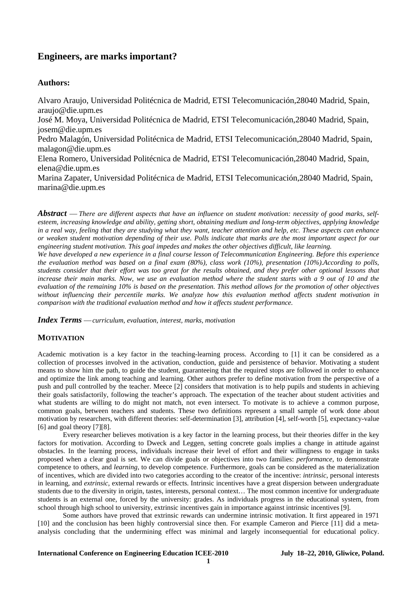# **Engineers, are marks important?**

# **Authors:**

Alvaro Araujo, Universidad Politécnica de Madrid, ETSI Telecomunicación,28040 Madrid, Spain, araujo@die.upm.es José M. Moya, Universidad Politécnica de Madrid, ETSI Telecomunicación,28040 Madrid, Spain, josem@die.upm.es Pedro Malagón, Universidad Politécnica de Madrid, ETSI Telecomunicación,28040 Madrid, Spain, malagon@die.upm.es Elena Romero, Universidad Politécnica de Madrid, ETSI Telecomunicación,28040 Madrid, Spain, elena@die.upm.es Marina Zapater, Universidad Politécnica de Madrid, ETSI Telecomunicación,28040 Madrid, Spain, marina@die.upm.es

*Abstract* — There are different aspects that have an influence on student motivation: necessity of good marks, self*esteem, increasing knowledge and ability, getting short, obtaining medium and long-term objectives, applying knowledge in a real way, feeling that they are studying what they want, teacher attention and help, etc. These aspects can enhance or weaken student motivation depending of their use. Polls indicate that marks are the most important aspect for our engineering student motivation. This goal impedes and makes the other objectives difficult, like learning.* 

*We have developed a new experience in a final course lesson of Telecommunication Engineering. Before this experience the evaluation method was based on a final exam (80%), class work (10%), presentation (10%).According to polls, students consider that their effort was too great for the results obtained, and they prefer other optional lessons that*  increase their main marks. Now, we use an evaluation method where the student starts with a 9 out of 10 and the *evaluation of the remaining 10% is based on the presentation. This method allows for the promotion of other objectives without influencing their percentile marks. We analyze how this evaluation method affects student motivation in comparison with the traditional evaluation method and how it affects student performance.* 

*Index Terms* — *curriculum, evaluation, interest, marks, motivation* 

# **MOTIVATION**

Academic motivation is a key factor in the teaching-learning process. According to [\[1\]](#page-6-0) it can be considered as a collection of processes involved in the activation, conduction, guide and persistence of behavior. Motivating a student means to show him the path, to guide the student, guaranteeing that the required stops are followed in order to enhance and optimize the link among teaching and learning. Other authors prefer to define motivation from the perspective of a push and pull controlled by the teacher. Meece [\[2\]](#page-6-1) considers that motivation is to help pupils and students in achieving their goals satisfactorily, following the teacher's approach. The expectation of the teacher about student activities and what students are willing to do might not match, not even intersect. To motivate is to achieve a common purpose, common goals, between teachers and students. These two definitions represent a small sample of work done about motivation by researchers, with different theories: self-determination [\[3\],](#page-6-2) attribution [\[4\],](#page-6-3) self-worth [\[5\],](#page-6-4) expectancy-value [\[6\]](#page-6-5) and goal theory [\[7\]](#page-6-6)[\[8\]](#page-7-0).

 Every researcher believes motivation is a key factor in the learning process, but their theories differ in the key factors for motivation. According to Dweck and Leggen, setting concrete goals implies a change in attitude against obstacles. In the learning process, individuals increase their level of effort and their willingness to engage in tasks proposed when a clear goal is set. We can divide goals or objectives into two families: *performance*, to demonstrate competence to others, and *learning*, to develop competence. Furthermore, goals can be considered as the materialization of incentives, which are divided into two categories according to the creator of the incentive: *intrinsic*, personal interests in learning, and *extrinsic*, external rewards or effects. Intrinsic incentives have a great dispersion between undergraduate students due to the diversity in origin, tastes, interests, personal context… The most common incentive for undergraduate students is an external one, forced by the university: grades. As individuals progress in the educational system, from school through high school to university, extrinsic incentives gain in importance against intrinsic incentives [\[9\].](#page-7-1)

 Some authors have proved that extrinsic rewards can undermine intrinsic motivation. It first appeared in 1971 [\[10\]](#page-7-2) and the conclusion has been highly controversial since then. For example Cameron and Pierce [\[11\]](#page-7-3) did a metaanalysis concluding that the undermining effect was minimal and largely inconsequential for educational policy.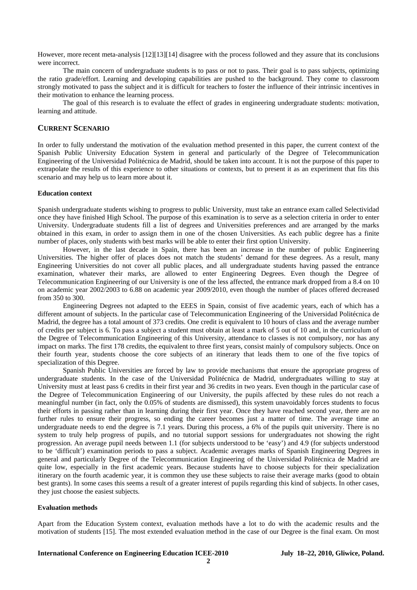However, more recent meta-analysis [\[12\]](#page-7-4)[\[13\]](#page-7-5)[\[14\]](#page-7-6) disagree with the process followed and they assure that its conclusions were incorrect.

 The main concern of undergraduate students is to pass or not to pass. Their goal is to pass subjects, optimizing the ratio grade/effort. Learning and developing capabilities are pushed to the background. They come to classroom strongly motivated to pass the subject and it is difficult for teachers to foster the influence of their intrinsic incentives in their motivation to enhance the learning process.

 The goal of this research is to evaluate the effect of grades in engineering undergraduate students: motivation, learning and attitude.

# **CURRENT SCENARIO**

In order to fully understand the motivation of the evaluation method presented in this paper, the current context of the Spanish Public University Education System in general and particularly of the Degree of Telecommunication Engineering of the Universidad Politécnica de Madrid, should be taken into account. It is not the purpose of this paper to extrapolate the results of this experience to other situations or contexts, but to present it as an experiment that fits this scenario and may help us to learn more about it.

#### **Education context**

Spanish undergraduate students wishing to progress to public University, must take an entrance exam called Selectividad once they have finished High School. The purpose of this examination is to serve as a selection criteria in order to enter University. Undergraduate students fill a list of degrees and Universities preferences and are arranged by the marks obtained in this exam, in order to assign them in one of the chosen Universities. As each public degree has a finite number of places, only students with best marks will be able to enter their first option University.

 However, in the last decade in Spain, there has been an increase in the number of public Engineering Universities. The higher offer of places does not match the students' demand for these degrees. As a result, many Engineering Universities do not cover all public places, and all undergraduate students having passed the entrance examination, whatever their marks, are allowed to enter Engineering Degrees. Even though the Degree of Telecommunication Engineering of our University is one of the less affected, the entrance mark dropped from a 8.4 on 10 on academic year 2002/2003 to 6.88 on academic year 2009/2010, even though the number of places offered decreased from 350 to 300.

 Engineering Degrees not adapted to the EEES in Spain, consist of five academic years, each of which has a different amount of subjects. In the particular case of Telecommunication Engineering of the Universidad Politécnica de Madrid, the degree has a total amount of 373 credits. One credit is equivalent to 10 hours of class and the average number of credits per subject is 6. To pass a subject a student must obtain at least a mark of 5 out of 10 and, in the curriculum of the Degree of Telecommunication Engineering of this University, attendance to classes is not compulsory, nor has any impact on marks. The first 178 credits, the equivalent to three first years, consist mainly of compulsory subjects. Once on their fourth year, students choose the core subjects of an itinerary that leads them to one of the five topics of specialization of this Degree.

 Spanish Public Universities are forced by law to provide mechanisms that ensure the appropriate progress of undergraduate students. In the case of the Universidad Politécnica de Madrid, undergraduates willing to stay at University must at least pass 6 credits in their first year and 36 credits in two years. Even though in the particular case of the Degree of Telecommunication Engineering of our University, the pupils affected by these rules do not reach a meaningful number (in fact, only the 0.05% of students are dismissed), this system unavoidably forces students to focus their efforts in passing rather than in learning during their first year. Once they have reached second year, there are no further rules to ensure their progress, so ending the career becomes just a matter of time. The average time an undergraduate needs to end the degree is 7.1 years. During this process, a 6% of the pupils quit university. There is no system to truly help progress of pupils, and no tutorial support sessions for undergraduates not showing the right progression. An average pupil needs between 1.1 (for subjects understood to be 'easy') and 4.9 (for subjects understood to be 'difficult') examination periods to pass a subject. Academic averages marks of Spanish Engineering Degrees in general and particularly Degree of the Telecommunication Engineering of the Universidad Politécnica de Madrid are quite low, especially in the first academic years. Because students have to choose subjects for their specialization itinerary on the fourth academic year, it is common they use these subjects to raise their average marks (good to obtain best grants). In some cases this seems a result of a greater interest of pupils regarding this kind of subjects. In other cases, they just choose the easiest subjects.

#### **Evaluation methods**

Apart from the Education System context, evaluation methods have a lot to do with the academic results and the motivation of students [\[15\]](#page-7-7). The most extended evaluation method in the case of our Degree is the final exam. On most

**2**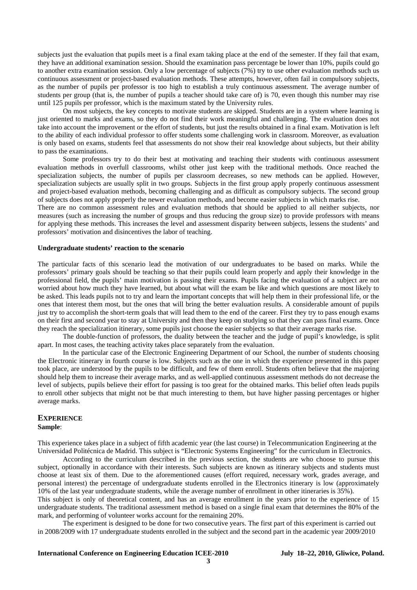subjects just the evaluation that pupils meet is a final exam taking place at the end of the semester. If they fail that exam, they have an additional examination session. Should the examination pass percentage be lower than 10%, pupils could go to another extra examination session. Only a low percentage of subjects (7%) try to use other evaluation methods such us continuous assessment or project-based evaluation methods. These attempts, however, often fail in compulsory subjects, as the number of pupils per professor is too high to establish a truly continuous assessment. The average number of students per group (that is, the number of pupils a teacher should take care of) is 70, even though this number may rise until 125 pupils per professor, which is the maximum stated by the University rules.

 On most subjects, the key concepts to motivate students are skipped. Students are in a system where learning is just oriented to marks and exams, so they do not find their work meaningful and challenging. The evaluation does not take into account the improvement or the effort of students, but just the results obtained in a final exam. Motivation is left to the ability of each individual professor to offer students some challenging work in classroom. Moreover, as evaluation is only based on exams, students feel that assessments do not show their real knowledge about subjects, but their ability to pass the examinations.

 Some professors try to do their best at motivating and teaching their students with continuous assessment evaluation methods in overfull classrooms, whilst other just keep with the traditional methods. Once reached the specialization subjects, the number of pupils per classroom decreases, so new methods can be applied. However, specialization subjects are usually split in two groups. Subjects in the first group apply properly continuous assessment and project-based evaluation methods, becoming challenging and as difficult as compulsory subjects. The second group of subjects does not apply properly the newer evaluation methods, and become easier subjects in which marks rise.

There are no common assessment rules and evaluation methods that should be applied to all neither subjects, nor measures (such as increasing the number of groups and thus reducing the group size) to provide professors with means for applying these methods. This increases the level and assessment disparity between subjects, lessens the students' and professors' motivation and disincentives the labor of teaching.

## **Undergraduate students' reaction to the scenario**

The particular facts of this scenario lead the motivation of our undergraduates to be based on marks. While the professors' primary goals should be teaching so that their pupils could learn properly and apply their knowledge in the professional field, the pupils' main motivation is passing their exams. Pupils facing the evaluation of a subject are not worried about how much they have learned, but about what will the exam be like and which questions are most likely to be asked. This leads pupils not to try and learn the important concepts that will help them in their professional life, or the ones that interest them most, but the ones that will bring the better evaluation results. A considerable amount of pupils just try to accomplish the short-term goals that will lead them to the end of the career. First they try to pass enough exams on their first and second year to stay at University and then they keep on studying so that they can pass final exams. Once they reach the specialization itinerary, some pupils just choose the easier subjects so that their average marks rise.

 The double-function of professors, the duality between the teacher and the judge of pupil's knowledge, is split apart. In most cases, the teaching activity takes place separately from the evaluation.

 In the particular case of the Electronic Engineering Department of our School, the number of students choosing the Electronic itinerary in fourth course is low. Subjects such as the one in which the experience presented in this paper took place, are understood by the pupils to be difficult, and few of them enroll. Students often believe that the majoring should help them to increase their average marks, and as well-applied continuous assessment methods do not decrease the level of subjects, pupils believe their effort for passing is too great for the obtained marks. This belief often leads pupils to enroll other subjects that might not be that much interesting to them, but have higher passing percentages or higher average marks.

#### **EXPERIENCE Sample**:

This experience takes place in a subject of fifth academic year (the last course) in Telecommunication Engineering at the Universidad Politécnica de Madrid. This subject is "Electronic Systems Engineering" for the curriculum in Electronics.

 According to the curriculum described in the previous section, the students are who choose to pursue this subject, optionally in accordance with their interests. Such subjects are known as itinerary subjects and students must choose at least six of them. Due to the aforementioned causes (effort required, necessary work, grades average, and personal interest) the percentage of undergraduate students enrolled in the Electronics itinerary is low (approximately 10% of the last year undergraduate students, while the average number of enrollment in other itineraries is 35%).

This subject is only of theoretical content, and has an average enrollment in the years prior to the experience of 15 undergraduate students. The traditional assessment method is based on a single final exam that determines the 80% of the mark, and performing of volunteer works account for the remaining 20%.

 The experiment is designed to be done for two consecutive years. The first part of this experiment is carried out in 2008/2009 with 17 undergraduate students enrolled in the subject and the second part in the academic year 2009/2010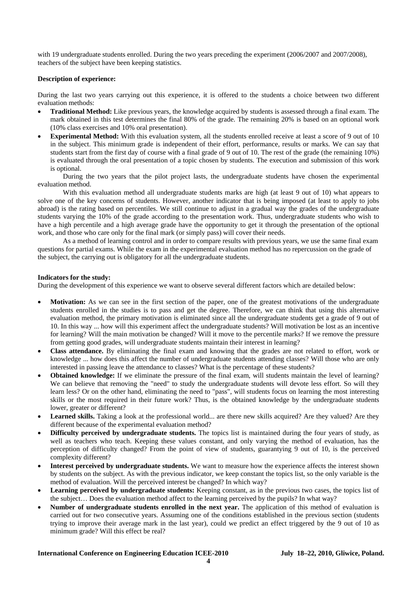with 19 undergraduate students enrolled. During the two years preceding the experiment (2006/2007 and 2007/2008), teachers of the subject have been keeping statistics.

## **Description of experience:**

During the last two years carrying out this experience, it is offered to the students a choice between two different evaluation methods:

- **Traditional Method:** Like previous years, the knowledge acquired by students is assessed through a final exam. The mark obtained in this test determines the final 80% of the grade. The remaining 20% is based on an optional work (10% class exercises and 10% oral presentation).
- **Experimental Method:** With this evaluation system, all the students enrolled receive at least a score of 9 out of 10 in the subject. This minimum grade is independent of their effort, performance, results or marks. We can say that students start from the first day of course with a final grade of 9 out of 10. The rest of the grade (the remaining 10%) is evaluated through the oral presentation of a topic chosen by students. The execution and submission of this work is optional.

 During the two years that the pilot project lasts, the undergraduate students have chosen the experimental evaluation method.

 With this evaluation method all undergraduate students marks are high (at least 9 out of 10) what appears to solve one of the key concerns of students. However, another indicator that is being imposed (at least to apply to jobs abroad) is the rating based on percentiles. We still continue to adjust in a gradual way the grades of the undergraduate students varying the 10% of the grade according to the presentation work. Thus, undergraduate students who wish to have a high percentile and a high average grade have the opportunity to get it through the presentation of the optional work, and those who care only for the final mark (or simply pass) will cover their needs.

 As a method of learning control and in order to compare results with previous years, we use the same final exam questions for partial exams. While the exam in the experimental evaluation method has no repercussion on the grade of the subject, the carrying out is obligatory for all the undergraduate students.

## **Indicators for the study:**

During the development of this experience we want to observe several different factors which are detailed below:

- **Motivation:** As we can see in the first section of the paper, one of the greatest motivations of the undergraduate students enrolled in the studies is to pass and get the degree. Therefore, we can think that using this alternative evaluation method, the primary motivation is eliminated since all the undergraduate students get a grade of 9 out of 10. In this way ... how will this experiment affect the undergraduate students? Will motivation be lost as an incentive for learning? Will the main motivation be changed? Will it move to the percentile marks? If we remove the pressure from getting good grades, will undergraduate students maintain their interest in learning?
- **Class attendance.** By eliminating the final exam and knowing that the grades are not related to effort, work or knowledge ... how does this affect the number of undergraduate students attending classes? Will those who are only interested in passing leave the attendance to classes? What is the percentage of these students?
- **Obtained knowledge:** If we eliminate the pressure of the final exam, will students maintain the level of learning? We can believe that removing the "need" to study the undergraduate students will devote less effort. So will they learn less? Or on the other hand, eliminating the need to "pass", will students focus on learning the most interesting skills or the most required in their future work? Thus, is the obtained knowledge by the undergraduate students lower, greater or different?
- Learned skills. Taking a look at the professional world... are there new skills acquired? Are they valued? Are they different because of the experimental evaluation method?
- **Difficulty perceived by undergraduate students.** The topics list is maintained during the four years of study, as well as teachers who teach. Keeping these values constant, and only varying the method of evaluation, has the perception of difficulty changed? From the point of view of students, guarantying 9 out of 10, is the perceived complexity different?
- **Interest perceived by undergraduate students.** We want to measure how the experience affects the interest shown by students on the subject. As with the previous indicator, we keep constant the topics list, so the only variable is the method of evaluation. Will the perceived interest be changed? In which way?
- **Learning perceived by undergraduate students:** Keeping constant, as in the previous two cases, the topics list of the subject… Does the evaluation method affect to the learning perceived by the pupils? In what way?
- **Number of undergraduate students enrolled in the next year.** The application of this method of evaluation is carried out for two consecutive years. Assuming one of the conditions established in the previous section (students trying to improve their average mark in the last year), could we predict an effect triggered by the 9 out of 10 as minimum grade? Will this effect be real?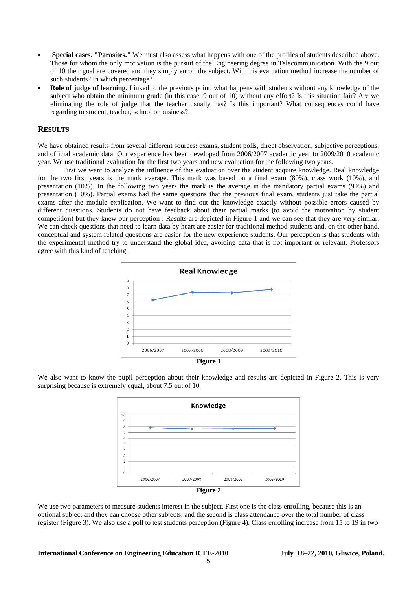- • **Special cases. "Parasites."** We must also assess what happens with one of the profiles of students described above. Those for whom the only motivation is the pursuit of the Engineering degree in Telecommunication. With the 9 out of 10 their goal are covered and they simply enroll the subject. Will this evaluation method increase the number of such students? In which percentage?
- **Role of judge of learning.** Linked to the previous point, what happens with students without any knowledge of the subject who obtain the minimum grade (in this case, 9 out of 10) without any effort? Is this situation fair? Are we eliminating the role of judge that the teacher usually has? Is this important? What consequences could have regarding to student, teacher, school or business?

# **RESULTS**

We have obtained results from several different sources: exams, student polls, direct observation, subjective perceptions, and official academic data. Our experience has been developed from 2006/2007 academic year to 2009/2010 academic year. We use traditional evaluation for the first two years and new evaluation for the following two years.

 First we want to analyze the influence of this evaluation over the student acquire knowledge. Real knowledge for the two first years is the mark average. This mark was based on a final exam (80%), class work (10%), and presentation (10%). In the following two years the mark is the average in the mandatory partial exams (90%) and presentation (10%). Partial exams had the same questions that the previous final exam, students just take the partial exams after the module explication. We want to find out the knowledge exactly without possible errors caused by different questions. Students do not have feedback about their partial marks (to avoid the motivation by student competition) but they knew our perception . Results are depicted in [Figure 1](#page-4-0) and we can see that they are very similar. We can check questions that need to learn data by heart are easier for traditional method students and, on the other hand, conceptual and system related questions are easier for the new experience students. Our perception is that students with the experimental method try to understand the global idea, avoiding data that is not important or relevant. Professors agree with this kind of teaching.



<span id="page-4-0"></span>We also want to know the pupil perception about their knowledge and results are depicted in [Figure 2](#page-4-1). This is very surprising because is extremely equal, about 7.5 out of 10



<span id="page-4-1"></span>We use two parameters to measure students interest in the subject. First one is the class enrolling, because this is an optional subject and they can choose other subjects, and the second is class attendance over the total number of class register ([Figure 3](#page-5-0)). We also use a poll to test students perception [\(Figure 4\)](#page-5-1). Class enrolling increase from 15 to 19 in two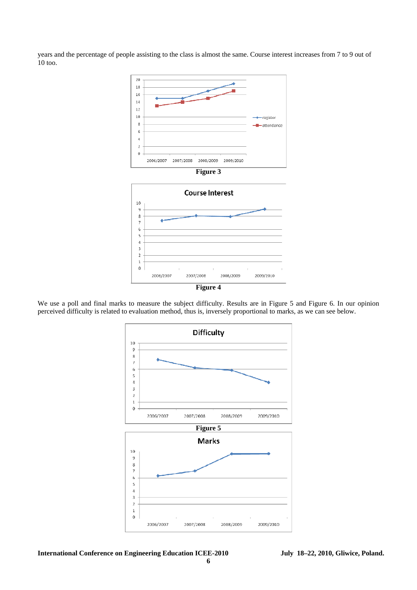<span id="page-5-0"></span>years and the percentage of people assisting to the class is almost the same. Course interest increases from 7 to 9 out of 10 too.





<span id="page-5-2"></span><span id="page-5-1"></span>We use a poll and final marks to measure the subject difficulty. Results are in [Figure 5](#page-5-2) and [Figure 6.](#page-6-7) In our opinion perceived difficulty is related to evaluation method, thus is, inversely proportional to marks, as we can see below.

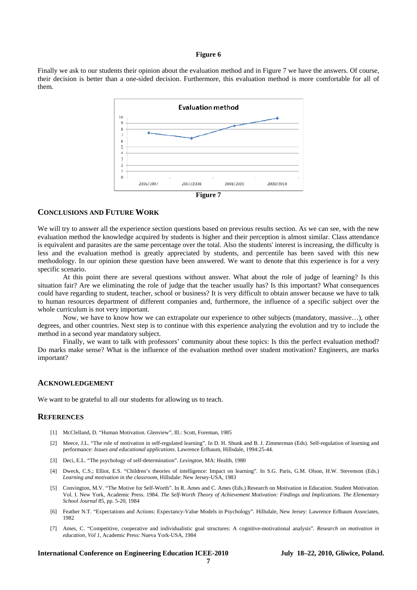#### **Figure 6**

<span id="page-6-7"></span>Finally we ask to our students their opinion about the evaluation method and in [Figure 7](#page-6-8) we have the answers. Of course, their decision is better than a one-sided decision. Furthermore, this evaluation method is more comfortable for all of them.



## <span id="page-6-8"></span>**CONCLUSIONS AND FUTURE WORK**

We will try to answer all the experience section questions based on previous results section. As we can see, with the new evaluation method the knowledge acquired by students is higher and their perception is almost similar. Class attendance is equivalent and parasites are the same percentage over the total. Also the students' interest is increasing, the difficulty is less and the evaluation method is greatly appreciated by students, and percentile has been saved with this new methodology. In our opinion these question have been answered. We want to denote that this experience is for a very specific scenario.

 At this point there are several questions without answer. What about the role of judge of learning? Is this situation fair? Are we eliminating the role of judge that the teacher usually has? Is this important? What consequences could have regarding to student, teacher, school or business? It is very difficult to obtain answer because we have to talk to human resources department of different companies and, furthermore, the influence of a specific subject over the whole curriculum is not very important.

 Now, we have to know how we can extrapolate our experience to other subjects (mandatory, massive…), other degrees, and other countries. Next step is to continue with this experience analyzing the evolution and try to include the method in a second year mandatory subject.

 Finally, we want to talk with professors' community about these topics: Is this the perfect evaluation method? Do marks make sense? What is the influence of the evaluation method over student motivation? Engineers, are marks important?

#### **ACKNOWLEDGEMENT**

We want to be grateful to all our students for allowing us to teach.

## <span id="page-6-1"></span><span id="page-6-0"></span>**REFERENCES**

- [1] McClelland, D. "Human Motivation. Glenview", Ill.: Scott, Foreman, 1985
- [2] Meece, J.L. "The role of motivation in self-regulated learning". In D. H. Shunk and B. J. Zimmerman (Eds). Self-regulation of learning and performance: *Issues and educational applications*. Lawrence Erlbaum, Hillsdale, 1994:25-44.
- <span id="page-6-2"></span>[3] Deci, E.L. "The psychology of self-determination". *Lexington*, MA: Health, 1980
- <span id="page-6-3"></span>[4] Dweck, C.S.; Elliot, E.S. "Children's theories of intelligence: Impact on learning". In S.G. Paris, G.M. Olson, H.W. Stevenson (Eds.) *Learning and motivation in the classroom*, Hillsdale: New Jersey-USA, 1983
- <span id="page-6-4"></span>[5] Convington, M.V. "The Motive for Self-Worth". In R. Ames and C. Ames (Eds.) Research on Motivation in Education. Student Motivation. Vol. I. New York, Academic Press. 1984. *The Self-Worth Theory of Achievement Motivation: Findings and Implications. The Elementary School Journal* 85, pp. 5-20, 1984
- <span id="page-6-5"></span>[6] Feather N.T. "Expectations and Actions: Expectancy-Value Models in Psychology". Hillsdale, New Jersey: Lawrence Erlbaum Associates, 1982
- <span id="page-6-6"></span>[7] Ames, C. "Competitive, cooperative and individualistic goal structures: A cognitive-motivational analysis"*. Research on motivation in education, Vol 1*, Academic Press: Nueva York-USA, 1984